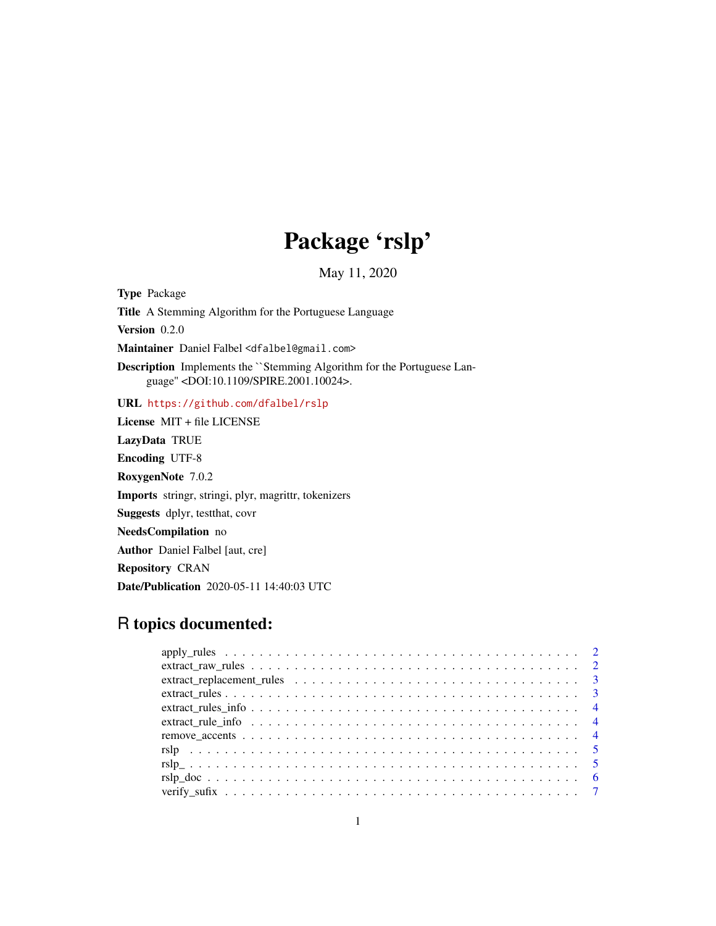## Package 'rslp'

May 11, 2020

Type Package

Title A Stemming Algorithm for the Portuguese Language

Version 0.2.0

Maintainer Daniel Falbel <dfalbel@gmail.com>

Description Implements the ``Stemming Algorithm for the Portuguese Language'' <DOI:10.1109/SPIRE.2001.10024>.

URL <https://github.com/dfalbel/rslp>

License MIT + file LICENSE LazyData TRUE Encoding UTF-8 RoxygenNote 7.0.2 Imports stringr, stringi, plyr, magrittr, tokenizers Suggests dplyr, testthat, covr NeedsCompilation no Author Daniel Falbel [aut, cre] Repository CRAN Date/Publication 2020-05-11 14:40:03 UTC

## R topics documented:

| extract replacement rules $\ldots \ldots \ldots \ldots \ldots \ldots \ldots \ldots \ldots \ldots$ |
|---------------------------------------------------------------------------------------------------|
|                                                                                                   |
|                                                                                                   |
|                                                                                                   |
|                                                                                                   |
|                                                                                                   |
|                                                                                                   |
|                                                                                                   |
|                                                                                                   |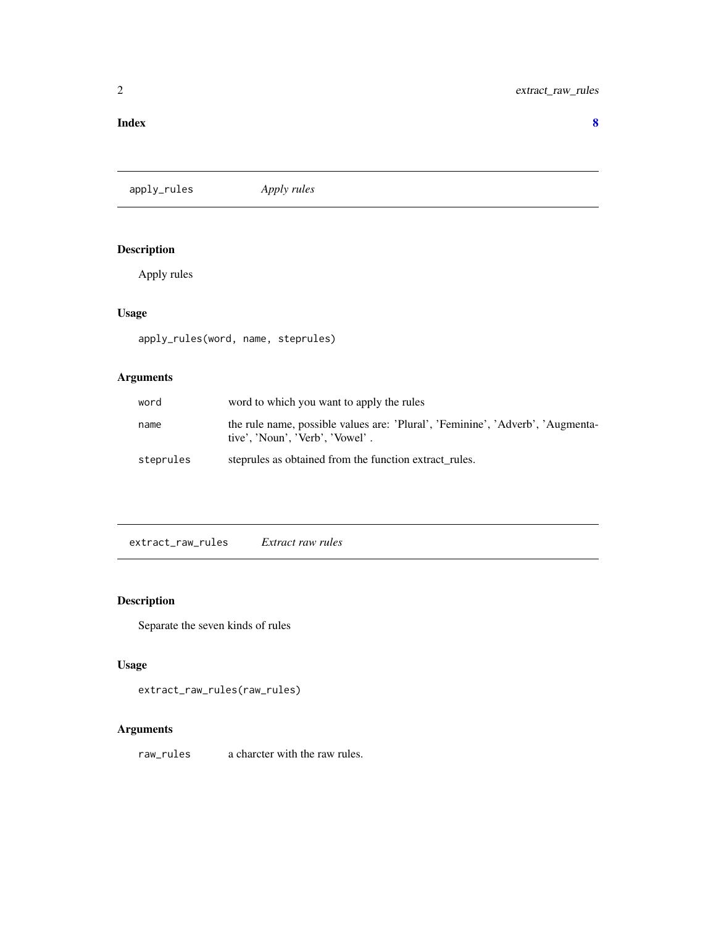#### <span id="page-1-0"></span>**Index** [8](#page-7-0) **8**

apply\_rules *Apply rules*

## Description

Apply rules

## Usage

apply\_rules(word, name, steprules)

## Arguments

| word      | word to which you want to apply the rules                                                                         |
|-----------|-------------------------------------------------------------------------------------------------------------------|
| name      | the rule name, possible values are: 'Plural', 'Feminine', 'Adverb', 'Augmenta-<br>tive'. 'Noun'. 'Verb'. 'Vowel'. |
| steprules | steprules as obtained from the function extract rules.                                                            |

extract\_raw\_rules *Extract raw rules*

## Description

Separate the seven kinds of rules

## Usage

extract\_raw\_rules(raw\_rules)

## Arguments

raw\_rules a charcter with the raw rules.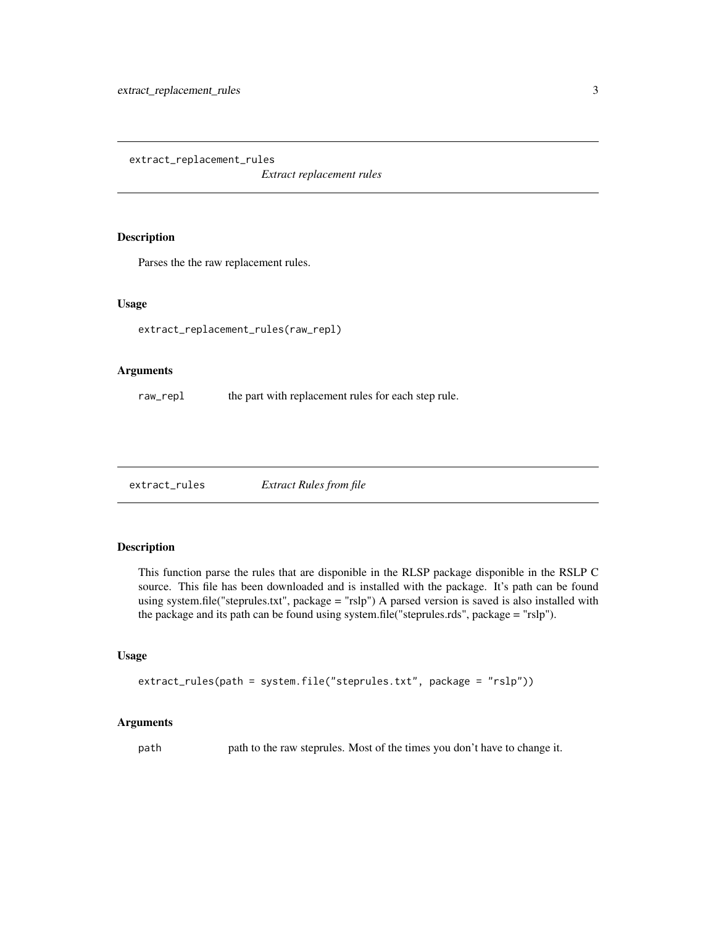<span id="page-2-0"></span>extract\_replacement\_rules

*Extract replacement rules*

#### Description

Parses the the raw replacement rules.

## Usage

extract\_replacement\_rules(raw\_repl)

#### Arguments

raw\_repl the part with replacement rules for each step rule.

extract\_rules *Extract Rules from file*

## Description

This function parse the rules that are disponible in the RLSP package disponible in the RSLP C source. This file has been downloaded and is installed with the package. It's path can be found using system.file("steprules.txt", package = "rslp") A parsed version is saved is also installed with the package and its path can be found using system.file("steprules.rds", package = "rslp").

#### Usage

```
extract_rules(path = system.file("steprules.txt", package = "rslp"))
```
#### Arguments

path path to the raw steprules. Most of the times you don't have to change it.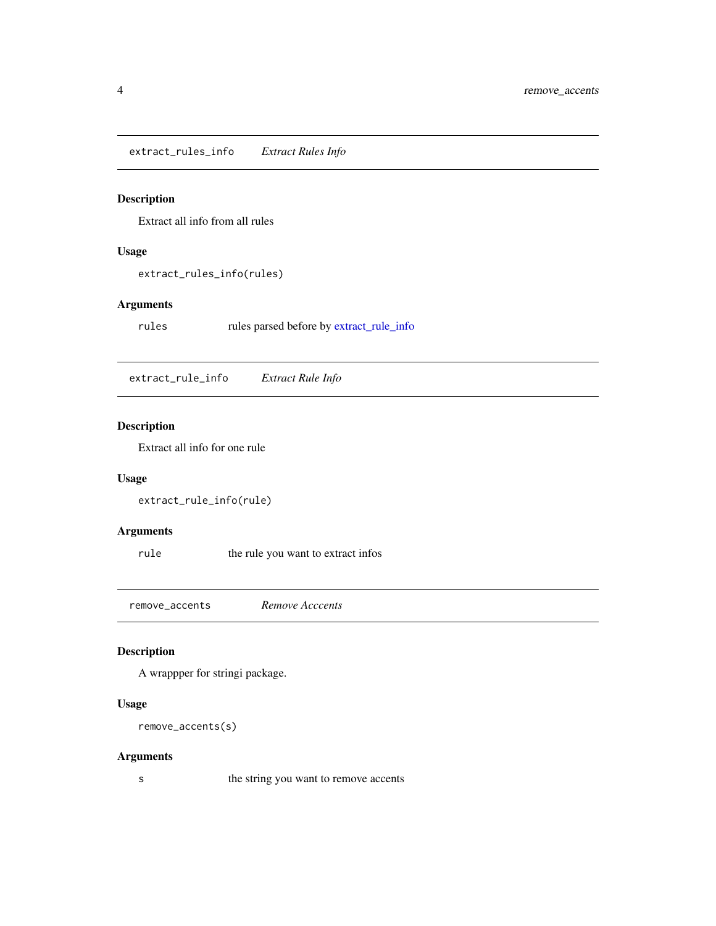<span id="page-3-0"></span>extract\_rules\_info *Extract Rules Info*

## Description

Extract all info from all rules

## Usage

extract\_rules\_info(rules)

## Arguments

rules rules parsed before by [extract\\_rule\\_info](#page-3-1)

<span id="page-3-1"></span>extract\_rule\_info *Extract Rule Info*

## Description

Extract all info for one rule

## Usage

```
extract_rule_info(rule)
```
## Arguments

rule the rule you want to extract infos

remove\_accents *Remove Acccents*

## Description

A wrappper for stringi package.

#### Usage

```
remove_accents(s)
```
#### Arguments

s the string you want to remove accents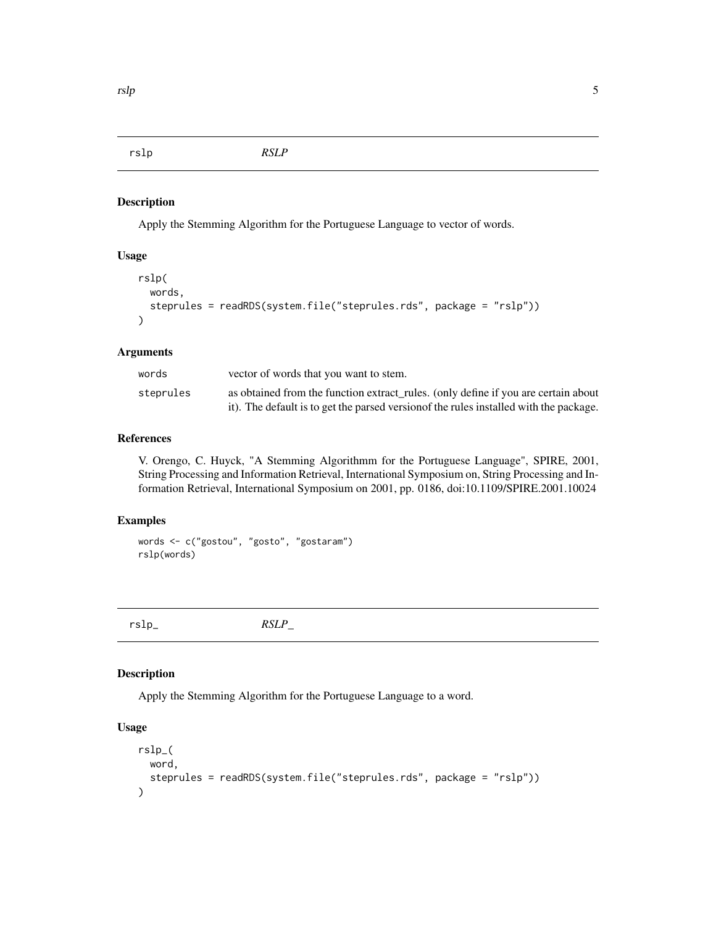<span id="page-4-0"></span>rslp *RSLP*

#### Description

Apply the Stemming Algorithm for the Portuguese Language to vector of words.

#### Usage

```
rslp(
 words,
  steprules = readRDS(system.file("steprules.rds", package = "rslp"))
)
```
#### Arguments

| words     | vector of words that you want to stem.                                                 |
|-----------|----------------------------------------------------------------------------------------|
| steprules | as obtained from the function extract_rules. (only define if you are certain about     |
|           | it). The default is to get the parsed version of the rules installed with the package. |

#### References

V. Orengo, C. Huyck, "A Stemming Algorithmm for the Portuguese Language", SPIRE, 2001, String Processing and Information Retrieval, International Symposium on, String Processing and Information Retrieval, International Symposium on 2001, pp. 0186, doi:10.1109/SPIRE.2001.10024

## Examples

```
words <- c("gostou", "gosto", "gostaram")
rslp(words)
```
rslp\_ *RSLP\_*

#### Description

Apply the Stemming Algorithm for the Portuguese Language to a word.

## Usage

```
rslp_(
  word,
  steprules = readRDS(system.file("steprules.rds", package = "rslp"))
\mathcal{L}
```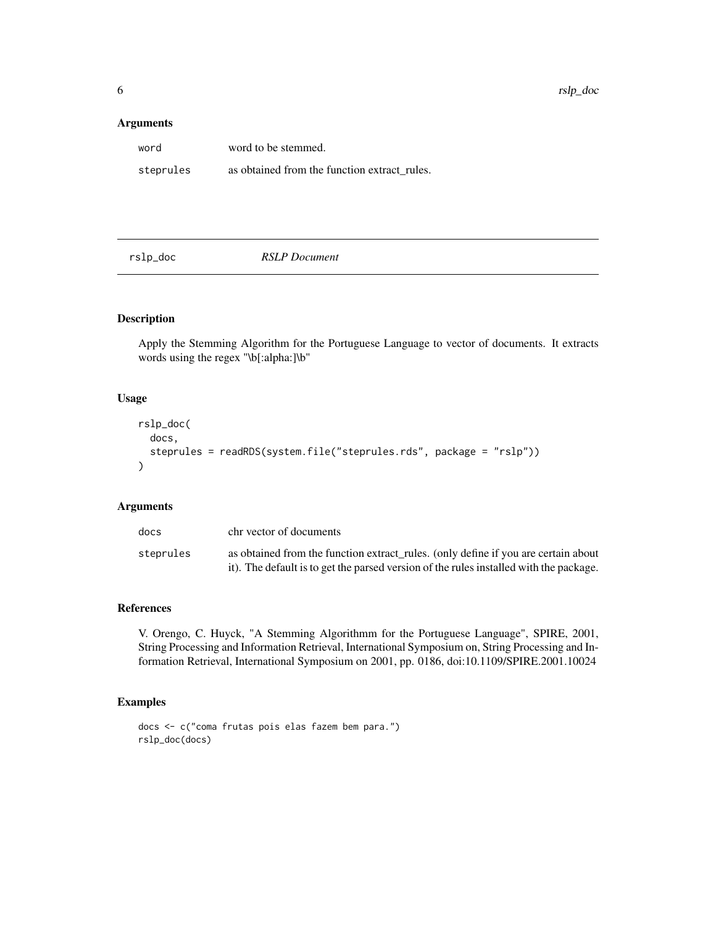#### <span id="page-5-0"></span>Arguments

| word      | word to be stemmed.                          |
|-----------|----------------------------------------------|
| steprules | as obtained from the function extract rules. |

rslp\_doc *RSLP Document*

## Description

Apply the Stemming Algorithm for the Portuguese Language to vector of documents. It extracts words using the regex "\b[:alpha:]\b"

## Usage

```
rslp_doc(
  docs,
  steprules = readRDS(system.file("steprules.rds", package = "rslp"))
\lambda
```
#### Arguments

| docs      | chr vector of documents                                                                                                                                                      |
|-----------|------------------------------------------------------------------------------------------------------------------------------------------------------------------------------|
| steprules | as obtained from the function extract rules. (only define if you are certain about<br>it). The default is to get the parsed version of the rules installed with the package. |

#### References

V. Orengo, C. Huyck, "A Stemming Algorithmm for the Portuguese Language", SPIRE, 2001, String Processing and Information Retrieval, International Symposium on, String Processing and Information Retrieval, International Symposium on 2001, pp. 0186, doi:10.1109/SPIRE.2001.10024

## Examples

```
docs <- c("coma frutas pois elas fazem bem para.")
rslp_doc(docs)
```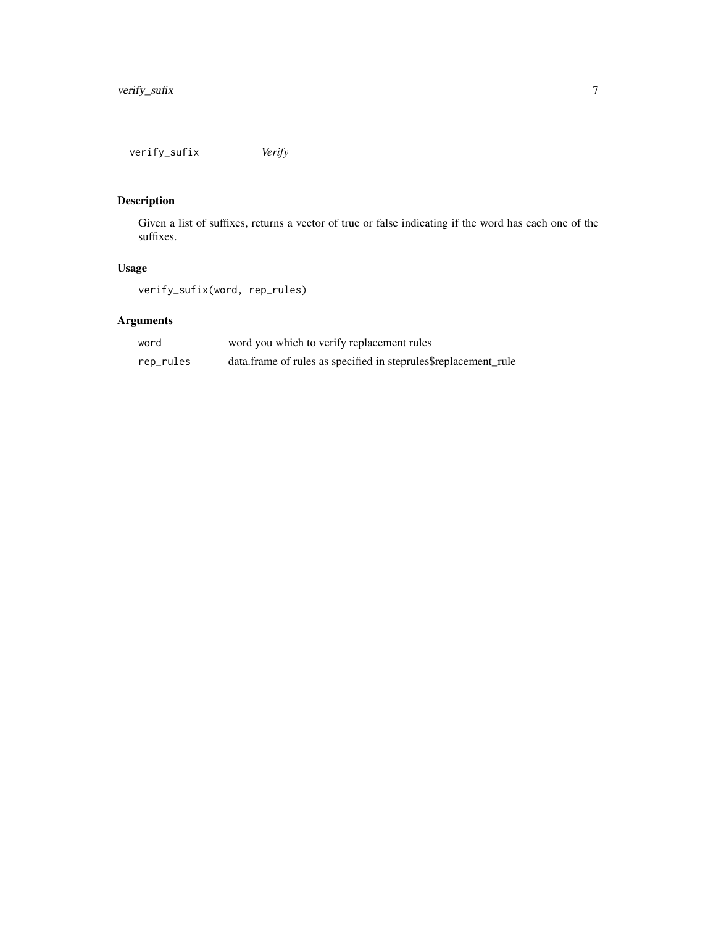<span id="page-6-0"></span>verify\_sufix *Verify*

## Description

Given a list of suffixes, returns a vector of true or false indicating if the word has each one of the suffixes.

## Usage

verify\_sufix(word, rep\_rules)

## Arguments

| word      | word you which to verify replacement rules                      |
|-----------|-----------------------------------------------------------------|
| rep_rules | data.frame of rules as specified in steprules\$replacement_rule |